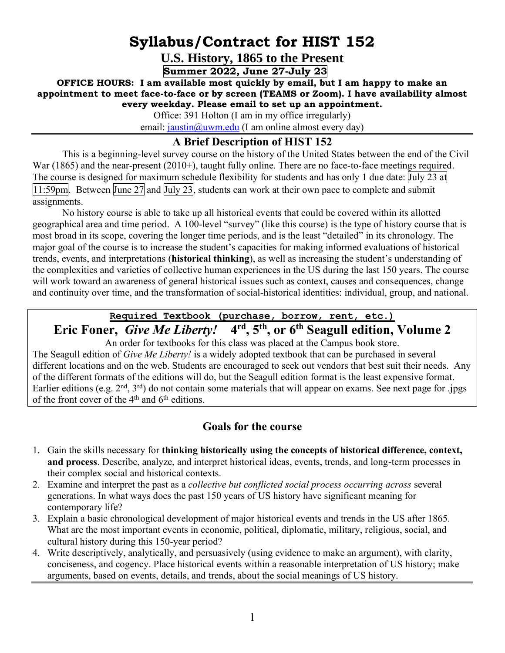# **Syllabus/Contract for HIST 152**

**U.S. History, 1865 to the Present** 

**Summer 2022, June 27-July 23**

**OFFICE HOURS: I am available most quickly by email, but I am happy to make an appointment to meet face-to-face or by screen (TEAMS or Zoom). I have availability almost every weekday. Please email to set up an appointment.**

Office: 391 Holton (I am in my office irregularly)

email:  $j$ austin@uwm.edu (I am online almost every day)

### **A Brief Description of HIST 152**

This is a beginning-level survey course on the history of the United States between the end of the Civil War (1865) and the near-present (2010+), taught fully online. There are no face-to-face meetings required. The course is designed for maximum schedule flexibility for students and has only 1 due date: July 23 at  $\overline{11:59}$ pm. Between June 27 and July 23, students can work at their own pace to complete and submit assignments.

No history course is able to take up all historical events that could be covered within its allotted geographical area and time period. A 100-level "survey" (like this course) is the type of history course that is most broad in its scope, covering the longer time periods, and is the least "detailed" in its chronology. The major goal of the course is to increase the student's capacities for making informed evaluations of historical trends, events, and interpretations (**historical thinking**), as well as increasing the student's understanding of the complexities and varieties of collective human experiences in the US during the last 150 years. The course will work toward an awareness of general historical issues such as context, causes and consequences, change and continuity over time, and the transformation of social-historical identities: individual, group, and national.

## **Required Textbook (purchase, borrow, rent, etc.)**

#### **Eric Foner,** *Give Me Liberty!* **4 rd, 5th, or 6th Seagull edition, Volume 2**

An order for textbooks for this class was placed at the Campus book store. The Seagull edition of *Give Me Liberty!* is a widely adopted textbook that can be purchased in several different locations and on the web. Students are encouraged to seek out vendors that best suit their needs. Any of the different formats of the editions will do, but the Seagull edition format is the least expensive format. Earlier editions (e.g.  $2<sup>nd</sup>$ ,  $3<sup>rd</sup>$ ) do not contain some materials that will appear on exams. See next page for .jpgs of the front cover of the  $4<sup>th</sup>$  and  $6<sup>th</sup>$  editions.

#### **Goals for the course**

- 1. Gain the skills necessary for **thinking historically using the concepts of historical difference, context, and process**. Describe, analyze, and interpret historical ideas, events, trends, and long-term processes in their complex social and historical contexts.
- 2. Examine and interpret the past as a *collective but conflicted social process occurring across* several generations. In what ways does the past 150 years of US history have significant meaning for contemporary life?
- 3. Explain a basic chronological development of major historical events and trends in the US after 1865. What are the most important events in economic, political, diplomatic, military, religious, social, and cultural history during this 150-year period?
- 4. Write descriptively, analytically, and persuasively (using evidence to make an argument), with clarity, conciseness, and cogency. Place historical events within a reasonable interpretation of US history; make arguments, based on events, details, and trends, about the social meanings of US history.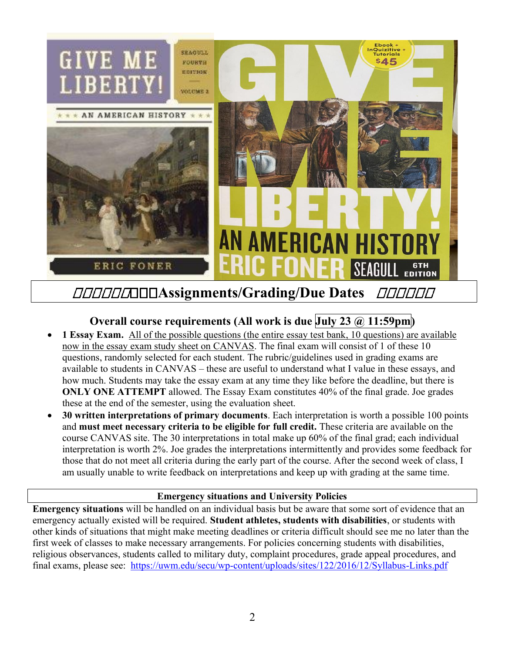

#### **Assignments/Grading/Due Dates**  *OOOOOO*

### **Overall course requirements (All work is due July 23 @ 11:59pm)**

- **1 Essay Exam.** All of the possible questions (the entire essay test bank, 10 questions) are available now in the essay exam study sheet on CANVAS. The final exam will consist of 1 of these 10 questions, randomly selected for each student. The rubric/guidelines used in grading exams are available to students in CANVAS – these are useful to understand what I value in these essays, and how much. Students may take the essay exam at any time they like before the deadline, but there is **ONLY ONE ATTEMPT** allowed. The Essay Exam constitutes 40% of the final grade. Joe grades these at the end of the semester, using the evaluation sheet.
- **30 written interpretations of primary documents**. Each interpretation is worth a possible 100 points and **must meet necessary criteria to be eligible for full credit.** These criteria are available on the course CANVAS site. The 30 interpretations in total make up 60% of the final grad; each individual interpretation is worth 2%. Joe grades the interpretations intermittently and provides some feedback for those that do not meet all criteria during the early part of the course. After the second week of class, I am usually unable to write feedback on interpretations and keep up with grading at the same time.

#### **Emergency situations and University Policies**

**Emergency situations** will be handled on an individual basis but be aware that some sort of evidence that an emergency actually existed will be required. **Student athletes, students with disabilities**, or students with other kinds of situations that might make meeting deadlines or criteria difficult should see me no later than the first week of classes to make necessary arrangements. For policies concerning students with disabilities, religious observances, students called to military duty, complaint procedures, grade appeal procedures, and final exams, please see: <https://uwm.edu/secu/wp-content/uploads/sites/122/2016/12/Syllabus-Links.pdf>